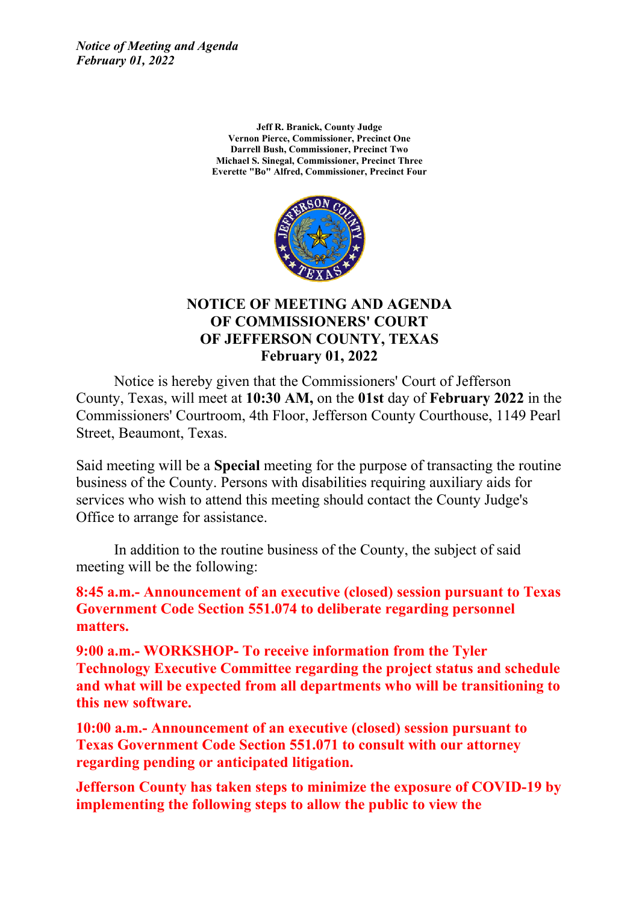*Notice of Meeting and Agenda February 01, 2022*

> **Jeff R. Branick, County Judge Vernon Pierce, Commissioner, Precinct One Darrell Bush, Commissioner, Precinct Two Michael S. Sinegal, Commissioner, Precinct Three Everette "Bo" Alfred, Commissioner, Precinct Four**



#### **NOTICE OF MEETING AND AGENDA OF COMMISSIONERS' COURT OF JEFFERSON COUNTY, TEXAS February 01, 2022**

Notice is hereby given that the Commissioners' Court of Jefferson County, Texas, will meet at **10:30 AM,** on the **01st** day of **February 2022** in the Commissioners' Courtroom, 4th Floor, Jefferson County Courthouse, 1149 Pearl Street, Beaumont, Texas.

Said meeting will be <sup>a</sup> **Special** meeting for the purpose of transacting the routine business of the County. Persons with disabilities requiring auxiliary aids for services who wish to attend this meeting should contact the County Judge's Office to arrange for assistance.

In addition to the routine business of the County, the subject of said meeting will be the following:

**8:45 a.m.- Announcement of an executive (closed) session pursuant to Texas Government Code Section 551.074 to deliberate regarding personnel matters.** 

**9:00 a.m.- WORKSHOP- To receive information from the Tyler Technology Executive Committee regarding the project status and schedule and what will be expected from all departments who will be transitioning to this new software.**

**10:00 a.m.- Announcement of an executive (closed) session pursuant to Texas Government Code Section 551.071 to consult with our attorney regarding pending or anticipated litigation.**

**Jefferson County has taken steps to minimize the exposure of COVID-19 by implementing the following steps to allow the public to view the**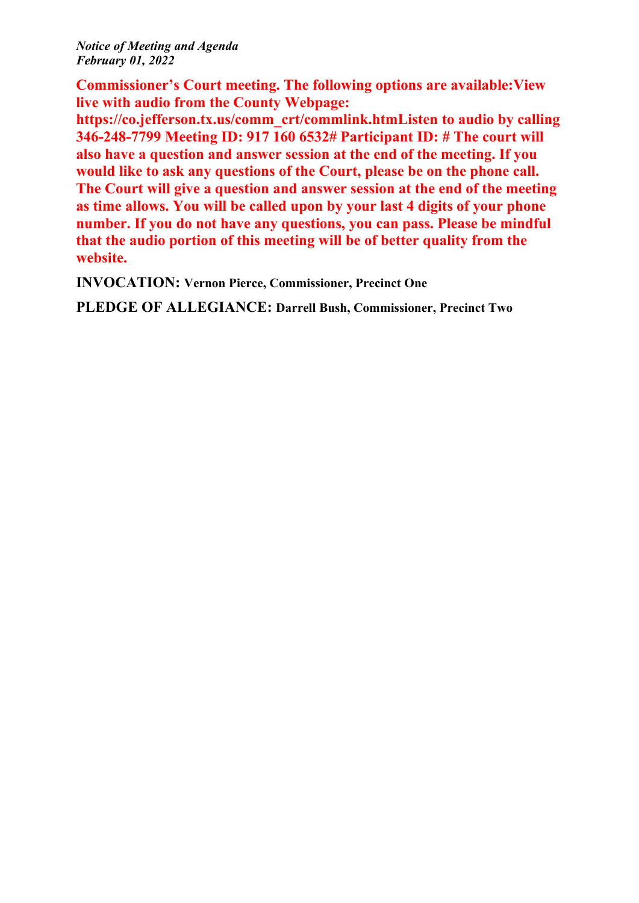*Notice of Meeting and Agenda February 01, 2022*

**Commissioner's Court meeting. The following options are available:View live with audio from the County Webpage:**

**https://co.jefferson.tx.us/comm\_crt/commlink.htmListen to audio by calling 346-248-7799 Meeting ID: 917 160 6532# Participant ID: # The court will also have <sup>a</sup> question and answer session at the end of the meeting. If you would like to ask any questions of the Court, please be on the phone call. The Court will give <sup>a</sup> question and answer session at the end of the meeting as time allows. You will be called upon by your last 4 digits of your phone number. If you do not have any questions, you can pass. Please be mindful that the audio portion of this meeting will be of better quality from the website.**

**INVOCATION: Vernon Pierce, Commissioner, Precinct One**

**PLEDGE OF ALLEGIANCE: Darrell Bush, Commissioner, Precinct Two**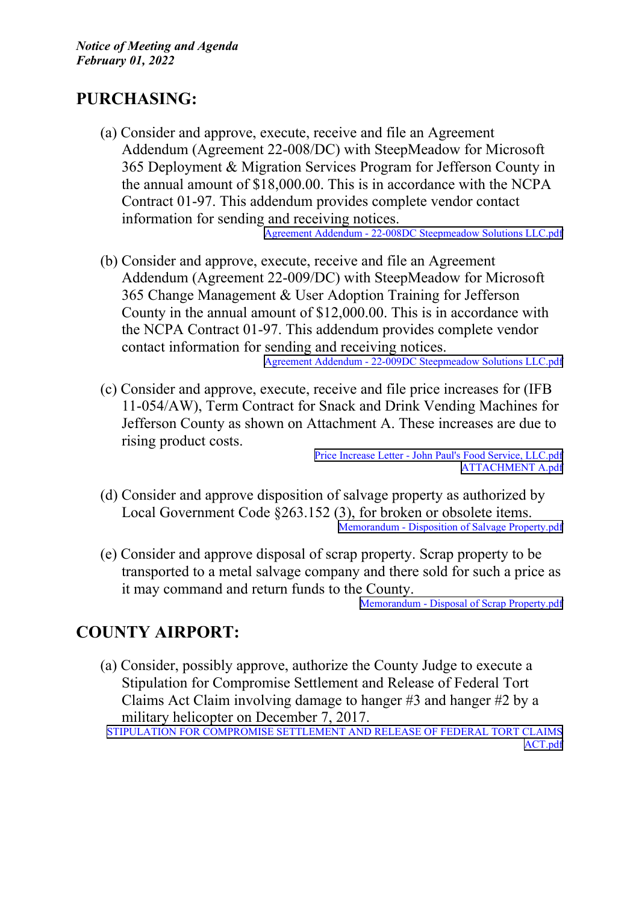## **PURCHASING:**

(a) Consider and approve, execute, receive and file an Agreement Addendum (Agreement 22-008/DC) with SteepMeadow for Microsoft 365 Deployment & Migration Services Program for Jefferson County in the annual amount of \$18,000.00. This is in accordance with the NCPA Contract 01-97. This addendum provides complete vendor contact information for sending and receiving notices.

Agreement Addendum - 22-008DC [Steepmeadow](http://co.jefferson.tx.us/agenda/agendas_pl/20220201_676/Attachments/Agreement Addendum - 22-008DC Steepmeadow Solutions LLC.pdf) Solutions LLC.pdf

(b) Consider and approve, execute, receive and file an Agreement Addendum (Agreement 22-009/DC) with SteepMeadow for Microsoft 365 Change Management & User Adoption Training for Jefferson County in the annual amount of \$12,000.00. This is in accordance with the NCPA Contract 01-97. This addendum provides complete vendor contact information for sending and receiving notices.

Agreement Addendum - 22-009DC [Steepmeadow](http://co.jefferson.tx.us/agenda/agendas_pl/20220201_676/Attachments/Agreement Addendum - 22-009DC Steepmeadow Solutions LLC.pdf) Solutions LLC.pdf

(c) Consider and approve, execute, receive and file price increases for (IFB 11-054/AW), Term Contract for Snack and Drink Vending Machines for Jefferson County as shown on Attachment A. These increases are due to rising product costs.

Price Increase Letter - John Paul's Food Service, [LLC.pdf](http://co.jefferson.tx.us/agenda/agendas_pl/20220201_676/Attachments/Price Increase Letter - John Paul) [ATTACHMENT](http://co.jefferson.tx.us/agenda/agendas_pl/20220201_676/Attachments/ATTACHMENT A.pdf) A.pdf

- (d) Consider and approve disposition of salvage property as authorized by Local Government Code §263.152 (3), for broken or obsolete items. Memorandum - Disposition of Salvage [Property.pdf](http://co.jefferson.tx.us/agenda/agendas_pl/20220201_676/Attachments/Memorandum - Disposition of Salvage Property.pdf)
- (e) Consider and approve disposal of scrap property. Scrap property to be transported to <sup>a</sup> metal salvage company and there sold for such <sup>a</sup> price as it may command and return funds to the County.

Memorandum - Disposal of Scrap [Property.pdf](http://co.jefferson.tx.us/agenda/agendas_pl/20220201_676/Attachments/Memorandum - Disposal of Scrap Property.pdf)

### **COUNTY AIRPORT:**

(a) Consider, possibly approve, authorize the County Judge to execute <sup>a</sup> Stipulation for Compromise Settlement and Release of Federal Tort Claims Act Claim involving damage to hanger #3 and hanger #2 by <sup>a</sup> military helicopter on December 7, 2017.

STIPULATION FOR [COMPROMISE](http://co.jefferson.tx.us/agenda/agendas_pl/20220201_676/Attachments/STIPULATION FOR COMPROMISE SETTLEMENT AND RELEASE OF FEDERAL TORT CLAIMS ACT.pdf) SETTLEMENT AND RELEASE OF FEDERAL TORT CLAIMS [ACT.pdf](http://co.jefferson.tx.us/agenda/agendas_pl/20220201_676/Attachments/STIPULATION FOR COMPROMISE SETTLEMENT AND RELEASE OF FEDERAL TORT CLAIMS ACT.pdf)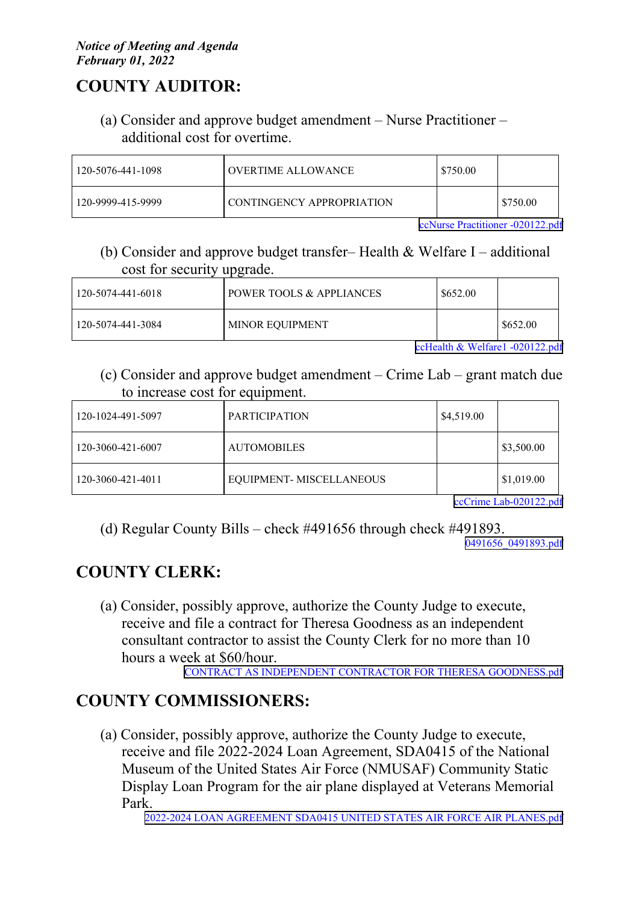#### *Notice of Meeting and Agenda February 01, 2022*

# **COUNTY AUDITOR:**

(a) Consider and approve budget amendment – Nurse Practitioner – additional cost for overtime.

| 120-5076-441-1098 | <b>OVERTIME ALLOWANCE</b> | l \$750.00 |          |
|-------------------|---------------------------|------------|----------|
| 120-9999-415-9999 | CONTINGENCY APPROPRIATION |            | \$750.00 |

ccNurse Practitioner [-020122.pdf](http://co.jefferson.tx.us/agenda/agendas_pl/20220201_676/Attachments/ccNurse Practitioner -020122.pdf)

(b) Consider and approve budget transfer– Health & Welfare I – additional cost for security upgrade.

| 120-5074-441-6018 | POWER TOOLS & APPLIANCES | \$652.00 |          |
|-------------------|--------------------------|----------|----------|
| 120-5074-441-3084 | <b>MINOR EQUIPMENT</b>   |          | \$652.00 |

ccHealth & Welfare1 [-020122.pdf](http://co.jefferson.tx.us/agenda/agendas_pl/20220201_676/Attachments/ccHealth & Welfare1 -020122.pdf)

(c) Consider and approve budget amendment – Crime Lab – gran<sup>t</sup> match due to increase cost for equipment.

| 120-1024-491-5097 | <b>PARTICIPATION</b>    | \$4,519.00 |            |
|-------------------|-------------------------|------------|------------|
| 120-3060-421-6007 | <b>AUTOMOBILES</b>      |            | \$3,500.00 |
| 120-3060-421-4011 | EQUIPMENT-MISCELLANEOUS |            | \$1,019.00 |

ccCrime [Lab-020122.pdf](http://co.jefferson.tx.us/agenda/agendas_pl/20220201_676/Attachments/ccCrime Lab-020122.pdf)

(d) Regular County Bills – check #491656 through check #491893. [0491656\\_0491893.pdf](http://co.jefferson.tx.us/agenda/agendas_pl/20220201_676/Attachments/0491656_0491893.pdf)

# **COUNTY CLERK:**

(a) Consider, possibly approve, authorize the County Judge to execute, receive and file <sup>a</sup> contract for Theresa Goodness as an independent consultant contractor to assist the County Clerk for no more than 10 hours <sup>a</sup> week at \$60/hour.

CONTRACT AS INDEPENDENT CONTRACTOR FOR THERESA [GOODNESS.pdf](http://co.jefferson.tx.us/agenda/agendas_pl/20220201_676/Attachments/CONTRACT AS INDEPENDENT CONTRACTOR FOR THERESA GOODNESS.pdf)

# **COUNTY COMMISSIONERS:**

(a) Consider, possibly approve, authorize the County Judge to execute, receive and file 2022-2024 Loan Agreement, SDA0415 of the National Museum of the United States Air Force (NMUSAF) Community Static Display Loan Program for the air plane displayed at Veterans Memorial Park.

2022-2024 LOAN AGREEMENT SDA0415 UNITED STATES AIR FORCE AIR [PLANES.pdf](http://co.jefferson.tx.us/agenda/agendas_pl/20220201_676/Attachments/2022-2024 LOAN AGREEMENT SDA0415 UNITED STATES AIR FORCE AIR PLANES.pdf)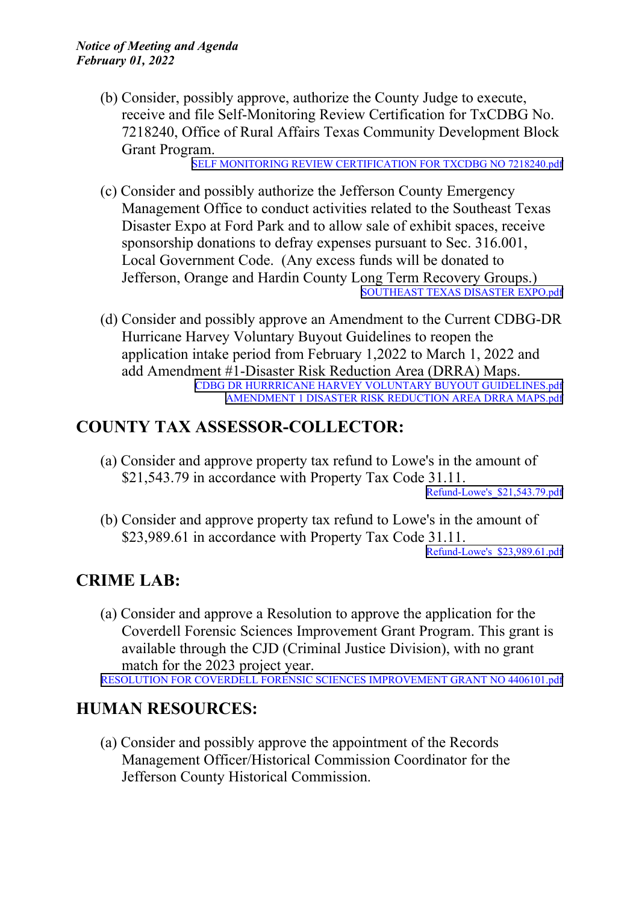(b) Consider, possibly approve, authorize the County Judge to execute, receive and file Self-Monitoring Review Certification for TxCDBG No. 7218240, Office of Rural Affairs Texas Community Development Block Grant Program.

SELF MONITORING REVIEW [CERTIFICATION](http://co.jefferson.tx.us/agenda/agendas_pl/20220201_676/Attachments/SELF MONITORING REVIEW CERTIFICATION FOR TXCDBG NO 7218240.pdf) FOR TXCDBG NO 7218240.pdf

- (c) Consider and possibly authorize the Jefferson County Emergency Management Office to conduct activities related to the Southeast Texas Disaster Expo at Ford Park and to allow sale of exhibit spaces, receive sponsorship donations to defray expenses pursuan<sup>t</sup> to Sec. 316.001, Local Government Code. (Any excess funds will be donated to Jefferson, Orange and Hardin County Long Term Recovery Groups.) [SOUTHEAST](http://co.jefferson.tx.us/agenda/agendas_pl/20220201_676/Attachments/SOUTHEAST TEXAS DISASTER EXPO.pdf) TEXAS DISASTER EXPO.pdf
- (d) Consider and possibly approve an Amendment to the Current CDBG-DR Hurricane Harvey Voluntary Buyout Guidelines to reopen the application intake period from February 1,2022 to March 1, 2022 and add Amendment #1-Disaster Risk Reduction Area (DRRA) Maps. CDBG DR HURRRICANE HARVEY VOLUNTARY BUYOUT [GUIDELINES.pdf](http://co.jefferson.tx.us/agenda/agendas_pl/20220201_676/Attachments/CDBG DR HURRRICANE HARVEY VOLUNTARY BUYOUT GUIDELINES.pdf) [AMENDMENT](http://co.jefferson.tx.us/agenda/agendas_pl/20220201_676/Attachments/AMENDMENT 1 DISASTER RISK REDUCTION AREA DRRA MAPS.pdf) 1 DISASTER RISK REDUCTION AREA DRRA MAPS.pdf

#### **COUNTY TAX ASSESSOR-COLLECTOR:**

(a) Consider and approve property tax refund to Lowe's in the amount of \$21,543.79 in accordance with Property Tax Code 31.11.

[Refund-Lowe's\\_\\$21,543.79.pdf](http://co.jefferson.tx.us/agenda/agendas_pl/20220201_676/Attachments/Refund-Lowe)

(b) Consider and approve property tax refund to Lowe's in the amount of \$23,989.61 in accordance with Property Tax Code 31.11.

[Refund-Lowe's\\_\\$23,989.61.pdf](http://co.jefferson.tx.us/agenda/agendas_pl/20220201_676/Attachments/Refund-Lowe)

### **CRIME LAB:**

(a) Consider and approve <sup>a</sup> Resolution to approve the application for the Coverdell Forensic Sciences Improvement Grant Program. This gran<sup>t</sup> is available through the CJD (Criminal Justice Division), with no gran<sup>t</sup> match for the 2023 project year.

RESOLUTION FOR COVERDELL FORENSIC SCIENCES [IMPROVEMENT](http://co.jefferson.tx.us/agenda/agendas_pl/20220201_676/Attachments/RESOLUTION FOR COVERDELL FORENSIC SCIENCES IMPROVEMENT GRANT NO 4406101.pdf) GRANT NO 4406101.pdf

#### **HUMAN RESOURCES:**

(a) Consider and possibly approve the appointment of the Records Management Officer/Historical Commission Coordinator for the Jefferson County Historical Commission.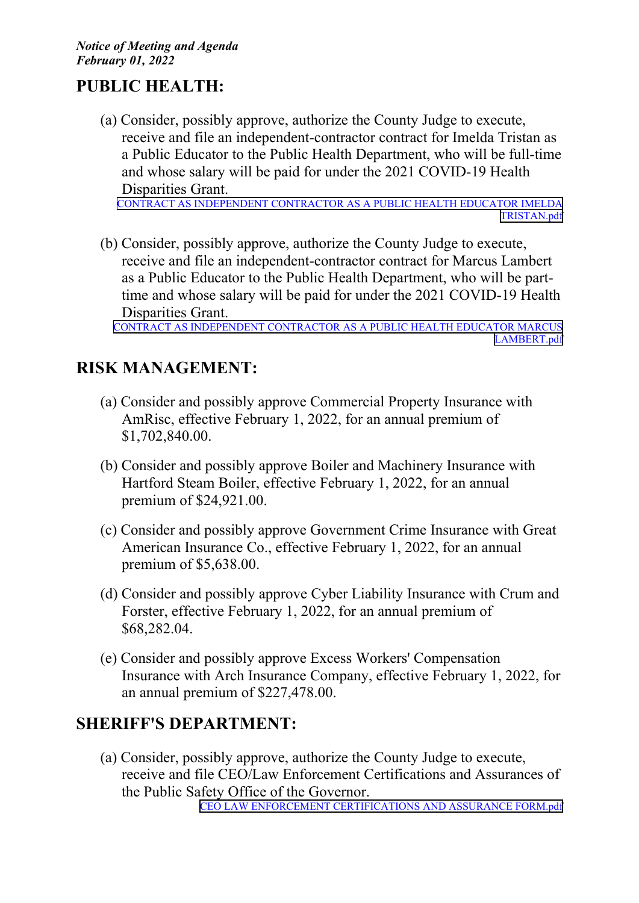## **PUBLIC HEALTH:**

(a) Consider, possibly approve, authorize the County Judge to execute, receive and file an independent-contractor contract for Imelda Tristan as <sup>a</sup> Public Educator to the Public Health Department, who will be full-time and whose salary will be paid for under the 2021 COVID-19 Health Disparities Grant.

CONTRACT AS INDEPENDENT [CONTRACTOR](http://co.jefferson.tx.us/agenda/agendas_pl/20220201_676/Attachments/CONTRACT AS INDEPENDENT CONTRACTOR AS A PUBLIC HEALTH EDUCATOR IMELDA TRISTAN.pdf) AS A PUBLIC HEALTH EDUCATOR IMELDA [TRISTAN.pdf](http://co.jefferson.tx.us/agenda/agendas_pl/20220201_676/Attachments/CONTRACT AS INDEPENDENT CONTRACTOR AS A PUBLIC HEALTH EDUCATOR IMELDA TRISTAN.pdf)

(b) Consider, possibly approve, authorize the County Judge to execute, receive and file an independent-contractor contract for Marcus Lambert as <sup>a</sup> Public Educator to the Public Health Department, who will be parttime and whose salary will be paid for under the 2021 COVID-19 Health Disparities Grant.

CONTRACT AS INDEPENDENT [CONTRACTOR](http://co.jefferson.tx.us/agenda/agendas_pl/20220201_676/Attachments/CONTRACT AS INDEPENDENT CONTRACTOR AS A PUBLIC HEALTH EDUCATOR MARCUS LAMBERT.pdf) AS A PUBLIC HEALTH EDUCATOR MARCUS [LAMBERT.pdf](http://co.jefferson.tx.us/agenda/agendas_pl/20220201_676/Attachments/CONTRACT AS INDEPENDENT CONTRACTOR AS A PUBLIC HEALTH EDUCATOR MARCUS LAMBERT.pdf)

## **RISK MANAGEMENT:**

- (a) Consider and possibly approve Commercial Property Insurance with AmRisc, effective February 1, 2022, for an annual premium of \$1,702,840.00.
- (b) Consider and possibly approve Boiler and Machinery Insurance with Hartford Steam Boiler, effective February 1, 2022, for an annual premium of \$24,921.00.
- (c) Consider and possibly approve Government Crime Insurance with Great American Insurance Co., effective February 1, 2022, for an annual premium of \$5,638.00.
- (d) Consider and possibly approve Cyber Liability Insurance with Crum and Forster, effective February 1, 2022, for an annual premium of \$68,282.04.
- (e) Consider and possibly approve Excess Workers' Compensation Insurance with Arch Insurance Company, effective February 1, 2022, for an annual premium of \$227,478.00.

### **SHERIFF'S DEPARTMENT:**

(a) Consider, possibly approve, authorize the County Judge to execute, receive and file CEO/Law Enforcement Certifications and Assurances of the Public Safety Office of the Governor. CEO LAW ENFORCEMENT [CERTIFICATIONS](http://co.jefferson.tx.us/agenda/agendas_pl/20220201_676/Attachments/CEO LAW ENFORCEMENT CERTIFICATIONS AND ASSURANCE FORM.pdf) AND ASSURANCE FORM.pdf